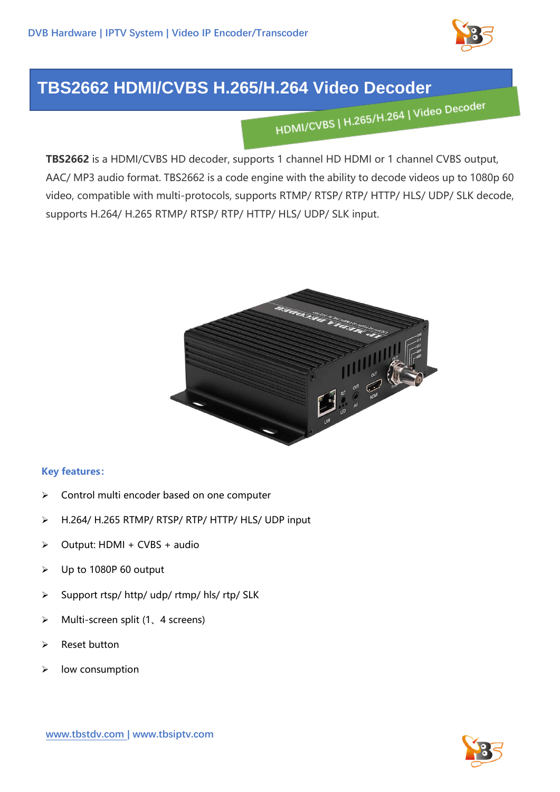

## **TBS2662 HDMI/CVBS H.265/H.264 Video Decoder**

**TBS2662** is a HDMI/CVBS HD decoder, supports 1 channel HD HDMI or 1 channel CVBS output, AAC/ MP3 audio format. TBS2662 is a code engine with the ability to decode videos up to 1080p 60 video, compatible with multi-protocols, supports RTMP/ RTSP/ RTP/ HTTP/ HLS/ UDP/ SLK decode, supports H.264/ H.265 RTMP/ RTSP/ RTP/ HTTP/ HLS/ UDP/ SLK input.



## **Key features:**

- ➢ Control multi encoder based on one computer
- ➢ H.264/ H.265 RTMP/ RTSP/ RTP/ HTTP/ HLS/ UDP input
- $\triangleright$  Output: HDMI + CVBS + audio
- ➢ Up to 1080P 60 output
- $\triangleright$  Support rtsp/ http/ udp/ rtmp/ hls/ rtp/ SLK
- ➢ Multi-screen split (1、4 screens)
- ➢ Reset button
- ➢ low consumption